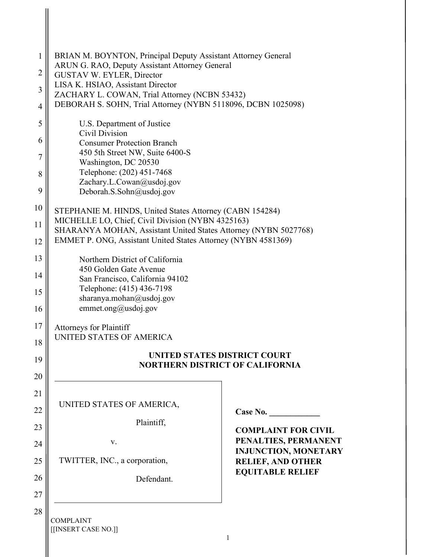| 1              | BRIAN M. BOYNTON, Principal Deputy Assistant Attorney General                                                                                                                         |                                                     |  |
|----------------|---------------------------------------------------------------------------------------------------------------------------------------------------------------------------------------|-----------------------------------------------------|--|
| $\overline{2}$ | ARUN G. RAO, Deputy Assistant Attorney General<br>GUSTAV W. EYLER, Director                                                                                                           |                                                     |  |
| $\overline{3}$ | LISA K. HSIAO, Assistant Director                                                                                                                                                     |                                                     |  |
| $\overline{4}$ | ZACHARY L. COWAN, Trial Attorney (NCBN 53432)<br>DEBORAH S. SOHN, Trial Attorney (NYBN 5118096, DCBN 1025098)                                                                         |                                                     |  |
| 5              | U.S. Department of Justice                                                                                                                                                            |                                                     |  |
| 6              | Civil Division<br><b>Consumer Protection Branch</b><br>450 5th Street NW, Suite 6400-S                                                                                                |                                                     |  |
| $\overline{7}$ |                                                                                                                                                                                       |                                                     |  |
| 8              | Washington, DC 20530<br>Telephone: (202) 451-7468                                                                                                                                     |                                                     |  |
| 9              | Zachary.L.Cowan@usdoj.gov<br>Deborah.S.Sohn@usdoj.gov                                                                                                                                 |                                                     |  |
| 10             | STEPHANIE M. HINDS, United States Attorney (CABN 154284)                                                                                                                              |                                                     |  |
| 11             | MICHELLE LO, Chief, Civil Division (NYBN 4325163)<br>SHARANYA MOHAN, Assistant United States Attorney (NYBN 5027768)<br>EMMET P. ONG, Assistant United States Attorney (NYBN 4581369) |                                                     |  |
| 12             |                                                                                                                                                                                       |                                                     |  |
| 13             | Northern District of California                                                                                                                                                       |                                                     |  |
| 14             | 450 Golden Gate Avenue<br>San Francisco, California 94102<br>Telephone: (415) 436-7198<br>sharanya.mohan@usdoj.gov<br>emmet.ong@usdoj.gov                                             |                                                     |  |
| 15             |                                                                                                                                                                                       |                                                     |  |
| 16             |                                                                                                                                                                                       |                                                     |  |
| 17             | <b>Attorneys for Plaintiff</b>                                                                                                                                                        |                                                     |  |
| 18             | UNITED STATES OF AMERICA                                                                                                                                                              |                                                     |  |
| 19             | UNITED STATES DISTRICT COURT<br><b>NORTHERN DISTRICT OF CALIFORNIA</b>                                                                                                                |                                                     |  |
| 20             |                                                                                                                                                                                       |                                                     |  |
| 21             |                                                                                                                                                                                       |                                                     |  |
| 22             | UNITED STATES OF AMERICA,                                                                                                                                                             | Case No.                                            |  |
| 23             | Plaintiff,                                                                                                                                                                            | <b>COMPLAINT FOR CIVIL</b>                          |  |
| 24             | V.                                                                                                                                                                                    | PENALTIES, PERMANENT<br><b>INJUNCTION, MONETARY</b> |  |
| 25             | TWITTER, INC., a corporation,                                                                                                                                                         | <b>RELIEF, AND OTHER</b><br><b>EQUITABLE RELIEF</b> |  |
| 26             | Defendant.                                                                                                                                                                            |                                                     |  |
| 27             |                                                                                                                                                                                       |                                                     |  |
| 28             | <b>COMPLAINT</b>                                                                                                                                                                      |                                                     |  |
|                | [[INSERT CASE NO.]]                                                                                                                                                                   | $\mathbf{1}$                                        |  |

║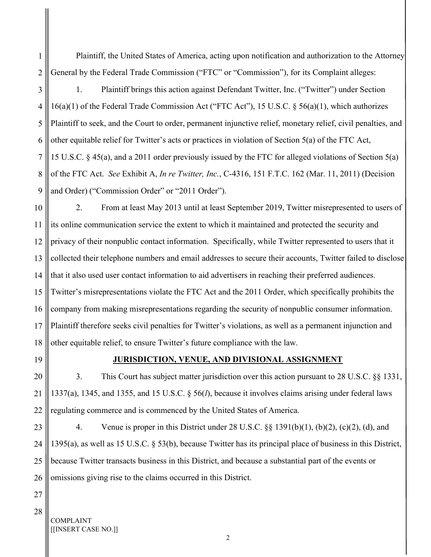Plaintiff, the United States of America, acting upon notification and authorization to the Attorney General by the Federal Trade Commission ("FTC" or "Commission"), for its Complaint alleges:

3 4 5 6 7 8 9 1. Plaintiff brings this action against Defendant Twitter, Inc. ("Twitter") under Section 16(a)(1) of the Federal Trade Commission Act ("FTC Act"), 15 U.S.C. § 56(a)(1), which authorizes Plaintiff to seek, and the Court to order, permanent injunctive relief, monetary relief, civil penalties, and other equitable relief for Twitter's acts or practices in violation of Section 5(a) of the FTC Act, 15 U.S.C. § 45(a), and a 2011 order previously issued by the FTC for alleged violations of Section 5(a) of the FTC Act. See Exhibit A, In re Twitter, Inc., C-4316, 151 F.T.C. 162 (Mar. 11, 2011) (Decision and Order) ("Commission Order" or "2011 Order").

10 11 12 13 14 15 16 17 18 2. From at least May 2013 until at least September 2019, Twitter misrepresented to users of its online communication service the extent to which it maintained and protected the security and privacy of their nonpublic contact information. Specifically, while Twitter represented to users that it collected their telephone numbers and email addresses to secure their accounts, Twitter failed to disclose that it also used user contact information to aid advertisers in reaching their preferred audiences. Twitter's misrepresentations violate the FTC Act and the 2011 Order, which specifically prohibits the company from making misrepresentations regarding the security of nonpublic consumer information. Plaintiff therefore seeks civil penalties for Twitter's violations, as well as a permanent injunction and other equitable relief, to ensure Twitter's future compliance with the law.

19

1

2

### JURISDICTION, VENUE, AND DIVISIONAL ASSIGNMENT

20 21 22 3. This Court has subject matter jurisdiction over this action pursuant to 28 U.S.C. §§ 1331, 1337(a), 1345, and 1355, and 15 U.S.C. § 56(l), because it involves claims arising under federal laws regulating commerce and is commenced by the United States of America.

23 24 25 26 4. Venue is proper in this District under 28 U.S.C. §§ 1391(b)(1), (b)(2), (c)(2), (d), and 1395(a), as well as 15 U.S.C. § 53(b), because Twitter has its principal place of business in this District, because Twitter transacts business in this District, and because a substantial part of the events or omissions giving rise to the claims occurred in this District.

27 28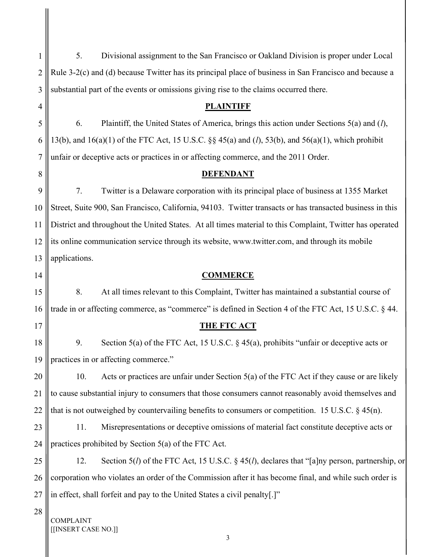| 1              | 5.<br>Divisional assignment to the San Francisco or Oakland Division is proper under Local                            |
|----------------|-----------------------------------------------------------------------------------------------------------------------|
| $\overline{2}$ | Rule 3-2(c) and (d) because Twitter has its principal place of business in San Francisco and because a                |
| 3              | substantial part of the events or omissions giving rise to the claims occurred there.                                 |
| 4              | <b>PLAINTIFF</b>                                                                                                      |
| 5              | Plaintiff, the United States of America, brings this action under Sections 5(a) and (l),<br>6.                        |
| 6              | 13(b), and 16(a)(1) of the FTC Act, 15 U.S.C. §§ 45(a) and ( <i>l</i> ), 53(b), and 56(a)(1), which prohibit          |
| $\overline{7}$ | unfair or deceptive acts or practices in or affecting commerce, and the 2011 Order.                                   |
| 8              | <b>DEFENDANT</b>                                                                                                      |
| 9              | 7.<br>Twitter is a Delaware corporation with its principal place of business at 1355 Market                           |
| 10             | Street, Suite 900, San Francisco, California, 94103. Twitter transacts or has transacted business in this             |
| 11             | District and throughout the United States. At all times material to this Complaint, Twitter has operated              |
| 12             | its online communication service through its website, www.twitter.com, and through its mobile                         |
| 13             | applications.                                                                                                         |
| 14             | <b>COMMERCE</b>                                                                                                       |
| 15             | 8.<br>At all times relevant to this Complaint, Twitter has maintained a substantial course of                         |
| 16             | trade in or affecting commerce, as "commerce" is defined in Section 4 of the FTC Act, 15 U.S.C. § 44.                 |
| 17             | <b>THE FTC ACT</b>                                                                                                    |
| 18             | 9.<br>Section 5(a) of the FTC Act, 15 U.S.C. § 45(a), prohibits "unfair or deceptive acts or                          |
| 19             | practices in or affecting commerce."                                                                                  |
| 20             | Acts or practices are unfair under Section 5(a) of the FTC Act if they cause or are likely<br>10.                     |
| 21             | to cause substantial injury to consumers that those consumers cannot reasonably avoid themselves and                  |
| 22             | that is not outweighed by countervailing benefits to consumers or competition. 15 U.S.C. $\S$ 45(n).                  |
| 23             | Misrepresentations or deceptive omissions of material fact constitute deceptive acts or<br>11.                        |
| 24             | practices prohibited by Section 5(a) of the FTC Act.                                                                  |
| 25             | Section 5( <i>l</i> ) of the FTC Act, 15 U.S.C. § 45( <i>l</i> ), declares that "[a]ny person, partnership, or<br>12. |
| 26             | corporation who violates an order of the Commission after it has become final, and while such order is                |
| 27             | in effect, shall forfeit and pay to the United States a civil penalty[.]"                                             |
| 28             | <b>COMPLAINT</b><br>[[INSERT CASE NO.]]                                                                               |

11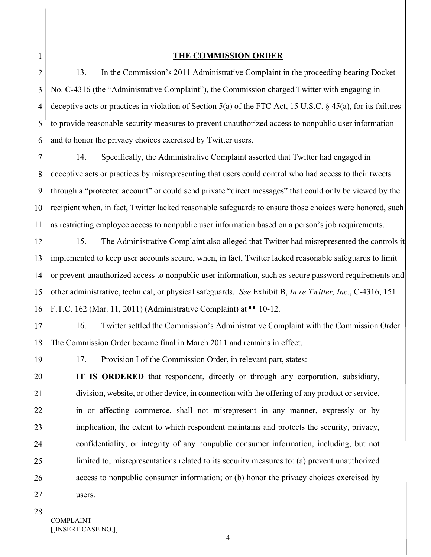6

#### THE COMMISSION ORDER

13. In the Commission's 2011 Administrative Complaint in the proceeding bearing Docket No. C-4316 (the "Administrative Complaint"), the Commission charged Twitter with engaging in deceptive acts or practices in violation of Section 5(a) of the FTC Act, 15 U.S.C. § 45(a), for its failures to provide reasonable security measures to prevent unauthorized access to nonpublic user information and to honor the privacy choices exercised by Twitter users.

7 8 9 10 11 14. Specifically, the Administrative Complaint asserted that Twitter had engaged in deceptive acts or practices by misrepresenting that users could control who had access to their tweets through a "protected account" or could send private "direct messages" that could only be viewed by the recipient when, in fact, Twitter lacked reasonable safeguards to ensure those choices were honored, such as restricting employee access to nonpublic user information based on a person's job requirements.

12 13 14 15 16 15. The Administrative Complaint also alleged that Twitter had misrepresented the controls it implemented to keep user accounts secure, when, in fact, Twitter lacked reasonable safeguards to limit or prevent unauthorized access to nonpublic user information, such as secure password requirements and other administrative, technical, or physical safeguards. See Exhibit B, In re Twitter, Inc., C-4316, 151 F.T.C. 162 (Mar. 11, 2011) (Administrative Complaint) at ¶¶ 10-12.

17 18 16. Twitter settled the Commission's Administrative Complaint with the Commission Order. The Commission Order became final in March 2011 and remains in effect.

19

20

21

22

23

24

25

26

17. Provision I of the Commission Order, in relevant part, states:

IT IS ORDERED that respondent, directly or through any corporation, subsidiary, division, website, or other device, in connection with the offering of any product or service, in or affecting commerce, shall not misrepresent in any manner, expressly or by implication, the extent to which respondent maintains and protects the security, privacy, confidentiality, or integrity of any nonpublic consumer information, including, but not limited to, misrepresentations related to its security measures to: (a) prevent unauthorized access to nonpublic consumer information; or (b) honor the privacy choices exercised by users.

28

27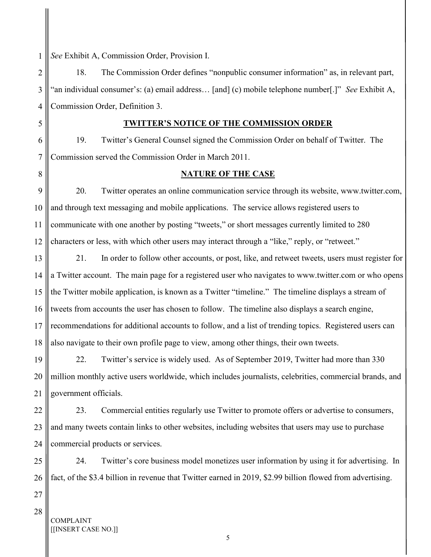1 See Exhibit A, Commission Order, Provision I.

2 3 4 18. The Commission Order defines "nonpublic consumer information" as, in relevant part, "an individual consumer's: (a) email address… [and] (c) mobile telephone number[.]" See Exhibit A, Commission Order, Definition 3.

#### TWITTER'S NOTICE OF THE COMMISSION ORDER

19. Twitter's General Counsel signed the Commission Order on behalf of Twitter. The Commission served the Commission Order in March 2011.

#### NATURE OF THE CASE

9 10 11 12 20. Twitter operates an online communication service through its website, www.twitter.com, and through text messaging and mobile applications. The service allows registered users to communicate with one another by posting "tweets," or short messages currently limited to 280 characters or less, with which other users may interact through a "like," reply, or "retweet."

13 14 15 16 17 18 21. In order to follow other accounts, or post, like, and retweet tweets, users must register for a Twitter account. The main page for a registered user who navigates to www.twitter.com or who opens the Twitter mobile application, is known as a Twitter "timeline." The timeline displays a stream of tweets from accounts the user has chosen to follow. The timeline also displays a search engine, recommendations for additional accounts to follow, and a list of trending topics. Registered users can also navigate to their own profile page to view, among other things, their own tweets.

19 20 21 22. Twitter's service is widely used. As of September 2019, Twitter had more than 330 million monthly active users worldwide, which includes journalists, celebrities, commercial brands, and government officials.

22 23 24 23. Commercial entities regularly use Twitter to promote offers or advertise to consumers, and many tweets contain links to other websites, including websites that users may use to purchase commercial products or services.

25 26 24. Twitter's core business model monetizes user information by using it for advertising. In fact, of the \$3.4 billion in revenue that Twitter earned in 2019, \$2.99 billion flowed from advertising.

27 28

5

6

7

8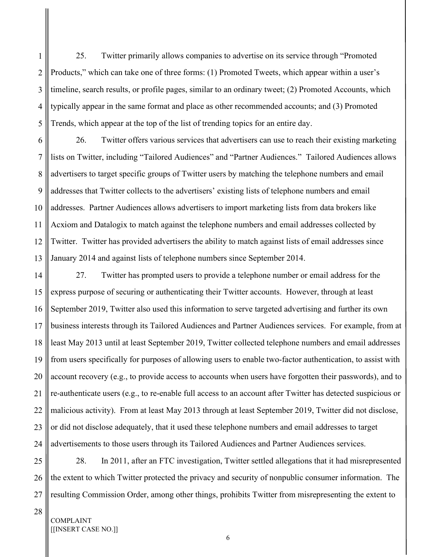2 3 4 5 25. Twitter primarily allows companies to advertise on its service through "Promoted Products," which can take one of three forms: (1) Promoted Tweets, which appear within a user's timeline, search results, or profile pages, similar to an ordinary tweet; (2) Promoted Accounts, which typically appear in the same format and place as other recommended accounts; and (3) Promoted Trends, which appear at the top of the list of trending topics for an entire day.

6 7 8 9 10 11 12 13 26. Twitter offers various services that advertisers can use to reach their existing marketing lists on Twitter, including "Tailored Audiences" and "Partner Audiences." Tailored Audiences allows advertisers to target specific groups of Twitter users by matching the telephone numbers and email addresses that Twitter collects to the advertisers' existing lists of telephone numbers and email addresses. Partner Audiences allows advertisers to import marketing lists from data brokers like Acxiom and Datalogix to match against the telephone numbers and email addresses collected by Twitter. Twitter has provided advertisers the ability to match against lists of email addresses since January 2014 and against lists of telephone numbers since September 2014.

14 15 16 17 18 19 20 21 22 23 24 27. Twitter has prompted users to provide a telephone number or email address for the express purpose of securing or authenticating their Twitter accounts. However, through at least September 2019, Twitter also used this information to serve targeted advertising and further its own business interests through its Tailored Audiences and Partner Audiences services. For example, from at least May 2013 until at least September 2019, Twitter collected telephone numbers and email addresses from users specifically for purposes of allowing users to enable two-factor authentication, to assist with account recovery (e.g., to provide access to accounts when users have forgotten their passwords), and to re-authenticate users (e.g., to re-enable full access to an account after Twitter has detected suspicious or malicious activity). From at least May 2013 through at least September 2019, Twitter did not disclose, or did not disclose adequately, that it used these telephone numbers and email addresses to target advertisements to those users through its Tailored Audiences and Partner Audiences services.

25 26 27 28. In 2011, after an FTC investigation, Twitter settled allegations that it had misrepresented the extent to which Twitter protected the privacy and security of nonpublic consumer information. The resulting Commission Order, among other things, prohibits Twitter from misrepresenting the extent to

28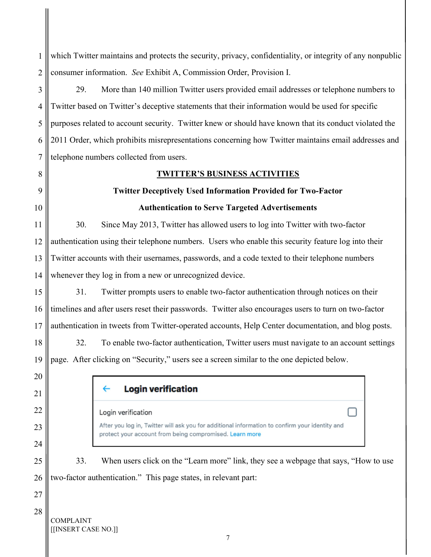1 which Twitter maintains and protects the security, privacy, confidentiality, or integrity of any nonpublic 2 consumer information. See Exhibit A, Commission Order, Provision I. 3 29. More than 140 million Twitter users provided email addresses or telephone numbers to 4 Twitter based on Twitter's deceptive statements that their information would be used for specific 5 purposes related to account security. Twitter knew or should have known that its conduct violated the 2011 Order, which prohibits misrepresentations concerning how Twitter maintains email addresses and 6 7 telephone numbers collected from users. 8 TWITTER'S BUSINESS ACTIVITIES  $\overline{Q}$ Twitter Deceptively Used Information Provided for Two-Factor 10 Authentication to Serve Targeted Advertisements 11 30. Since May 2013, Twitter has allowed users to log into Twitter with two-factor 12 authentication using their telephone numbers. Users who enable this security feature log into their 13 Twitter accounts with their usernames, passwords, and a code texted to their telephone numbers 14 whenever they log in from a new or unrecognized device. 15 31. Twitter prompts users to enable two-factor authentication through notices on their 16 timelines and after users reset their passwords. Twitter also encourages users to turn on two-factor 17 authentication in tweets from Twitter-operated accounts, Help Center documentation, and blog posts. 18 32. To enable two-factor authentication, Twitter users must navigate to an account settings 19 page. After clicking on "Security," users see a screen similar to the one depicted below. 20 **Login verification**  $\leftarrow$ 21 22 Login verification After you log in, Twitter will ask you for additional information to confirm your identity and 23 protect your account from being compromised. Learn more 24 25 33. When users click on the "Learn more" link, they see a webpage that says, "How to use 26 two-factor authentication." This page states, in relevant part: 27 28 COMPLAINT [[INSERT CASE NO.]]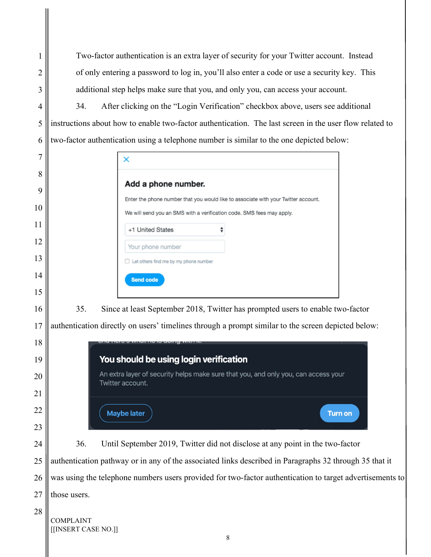Two-factor authentication is an extra layer of security for your Twitter account. Instead of only entering a password to log in, you'll also enter a code or use a security key. This additional step helps make sure that you, and only you, can access your account.

34. After clicking on the "Login Verification" checkbox above, users see additional instructions about how to enable two-factor authentication. The last screen in the user flow related to two-factor authentication using a telephone number is similar to the one depicted below:

|     | $\times$                                                                                                                                                    |  |
|-----|-------------------------------------------------------------------------------------------------------------------------------------------------------------|--|
|     | Add a phone number.                                                                                                                                         |  |
|     | Enter the phone number that you would like to associate with your Twitter account.<br>We will send you an SMS with a verification code. SMS fees may apply. |  |
|     | +1 United States                                                                                                                                            |  |
|     | Your phone number                                                                                                                                           |  |
|     | $\Box$ Let others find me by my phone number<br><b>Send code</b>                                                                                            |  |
| 35. | Since at least September 2018, Twitter has prompted users to enable two-factor                                                                              |  |
|     | authentication directly on users' timelines through a prompt similar to the screen depicted below:                                                          |  |
|     | You should be using login verification                                                                                                                      |  |
|     | An extra layer of security helps make sure that you, and only you, can access your<br>Twitter account.                                                      |  |
|     |                                                                                                                                                             |  |

36. Until September 2019, Twitter did not disclose at any point in the two-factor

**Turn on** 

authentication pathway or in any of the associated links described in Paragraphs 32 through 35 that it was using the telephone numbers users provided for two-factor authentication to target advertisements to those users.

**Maybe later**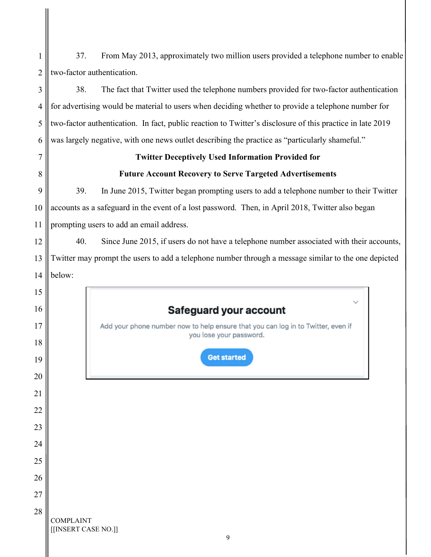| 1              | 37.<br>From May 2013, approximately two million users provided a telephone number to enable                 |  |  |
|----------------|-------------------------------------------------------------------------------------------------------------|--|--|
| $\overline{2}$ | two-factor authentication.                                                                                  |  |  |
| 3              | 38.<br>The fact that Twitter used the telephone numbers provided for two-factor authentication              |  |  |
| $\overline{4}$ | for advertising would be material to users when deciding whether to provide a telephone number for          |  |  |
| 5              | two-factor authentication. In fact, public reaction to Twitter's disclosure of this practice in late 2019   |  |  |
| 6              | was largely negative, with one news outlet describing the practice as "particularly shameful."              |  |  |
| 7              | <b>Twitter Deceptively Used Information Provided for</b>                                                    |  |  |
| 8              | <b>Future Account Recovery to Serve Targeted Advertisements</b>                                             |  |  |
| 9              | 39.<br>In June 2015, Twitter began prompting users to add a telephone number to their Twitter               |  |  |
| 10             | accounts as a safeguard in the event of a lost password. Then, in April 2018, Twitter also began            |  |  |
| 11             | prompting users to add an email address.                                                                    |  |  |
| 12             | 40.<br>Since June 2015, if users do not have a telephone number associated with their accounts,             |  |  |
| 13             | Twitter may prompt the users to add a telephone number through a message similar to the one depicted        |  |  |
| 14             | below:                                                                                                      |  |  |
| 15             |                                                                                                             |  |  |
| 16             | Safeguard your account                                                                                      |  |  |
| 17             | Add your phone number now to help ensure that you can log in to Twitter, even if<br>you lose your password. |  |  |
| 18             |                                                                                                             |  |  |
| 19             | <b>Get started</b>                                                                                          |  |  |
| 20             |                                                                                                             |  |  |
| 21             |                                                                                                             |  |  |
| 22             |                                                                                                             |  |  |
| 23             |                                                                                                             |  |  |
| 24             |                                                                                                             |  |  |
| 25             |                                                                                                             |  |  |
| 26             |                                                                                                             |  |  |
| 27             |                                                                                                             |  |  |
| 28             | <b>COMPLAINT</b><br>[[INSERT CASE NO.]]<br>9                                                                |  |  |

Ш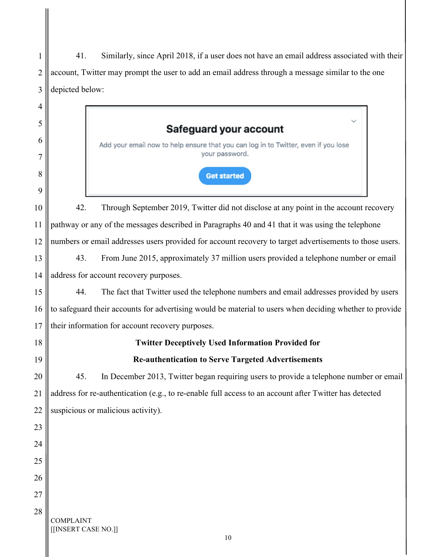| 1              | Similarly, since April 2018, if a user does not have an email address associated with their<br>41.      |
|----------------|---------------------------------------------------------------------------------------------------------|
| $\overline{2}$ | account, Twitter may prompt the user to add an email address through a message similar to the one       |
| 3              | depicted below:                                                                                         |
| 4              |                                                                                                         |
| 5              |                                                                                                         |
| 6              | Safeguard your account                                                                                  |
|                | Add your email now to help ensure that you can log in to Twitter, even if you lose<br>your password.    |
| 8              |                                                                                                         |
| 9              | <b>Get started</b>                                                                                      |
| 10             | Through September 2019, Twitter did not disclose at any point in the account recovery<br>42.            |
| 11             | pathway or any of the messages described in Paragraphs 40 and 41 that it was using the telephone        |
| 12             | numbers or email addresses users provided for account recovery to target advertisements to those users. |
| 13             | 43.<br>From June 2015, approximately 37 million users provided a telephone number or email              |
| 14             | address for account recovery purposes.                                                                  |
| 15             | 44.<br>The fact that Twitter used the telephone numbers and email addresses provided by users           |
| 16             | to safeguard their accounts for advertising would be material to users when deciding whether to provide |
| 17             | their information for account recovery purposes.                                                        |
| 18             | <b>Twitter Deceptively Used Information Provided for</b>                                                |
| 19             | <b>Re-authentication to Serve Targeted Advertisements</b>                                               |
| 20             | 45.<br>In December 2013, Twitter began requiring users to provide a telephone number or email           |
| 21             | address for re-authentication (e.g., to re-enable full access to an account after Twitter has detected  |
| 22             | suspicious or malicious activity).                                                                      |
| 23             |                                                                                                         |
| 24             |                                                                                                         |
| 25             |                                                                                                         |
| 26             |                                                                                                         |
| 27             |                                                                                                         |
| 28             |                                                                                                         |
|                | <b>COMPLAINT</b><br>[[INSERT CASE NO.]]<br>10                                                           |

Π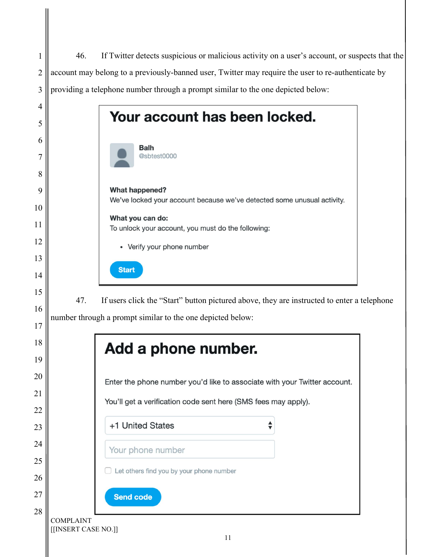46. If Twitter detects suspicious or malicious activity on a user's account, or suspects that the 1 2 account may belong to a previously-banned user, Twitter may require the user to re-authenticate by 3 providing a telephone number through a prompt similar to the one depicted below: 4 Your account has been locked. 5 6 **Balh** @sbtest0000 7 8 What happened? 9 We've locked your account because we've detected some unusual activity. 10 What you can do: 11 To unlock your account, you must do the following: 12 • Verify your phone number 13 **Start** 14 15 47. If users click the "Start" button pictured above, they are instructed to enter a telephone 16 number through a prompt similar to the one depicted below: 17 18 Add a phone number. 19 20 Enter the phone number you'd like to associate with your Twitter account. 21 You'll get a verification code sent here (SMS fees may apply). 22 +1 United States 23 24 Your phone number 25 Let others find you by your phone number 26 27 **Send code** 28 COMPLAINT [[INSERT CASE NO.]] 11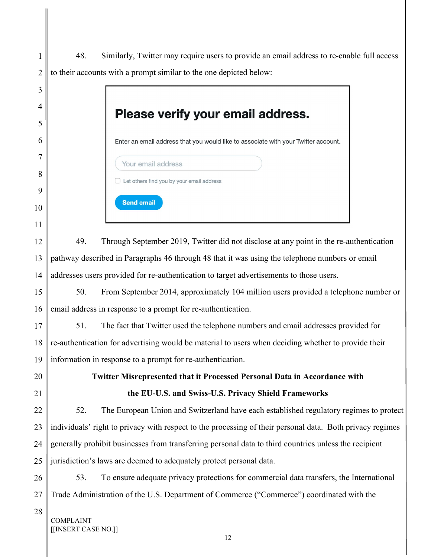1 2 48. Similarly, Twitter may require users to provide an email address to re-enable full access to their accounts with a prompt similar to the one depicted below:

 $\sim$ 

| 3      |                                                                                                           |  |
|--------|-----------------------------------------------------------------------------------------------------------|--|
| 4<br>5 | Please verify your email address.                                                                         |  |
| 6      | Enter an email address that you would like to associate with your Twitter account.                        |  |
| 7      | Your email address                                                                                        |  |
| 8      | Let others find you by your email address                                                                 |  |
| 9      | <b>Send email</b>                                                                                         |  |
| 10     |                                                                                                           |  |
| 11     |                                                                                                           |  |
| 12     | 49.<br>Through September 2019, Twitter did not disclose at any point in the re-authentication             |  |
| 13     | pathway described in Paragraphs 46 through 48 that it was using the telephone numbers or email            |  |
| 14     | addresses users provided for re-authentication to target advertisements to those users.                   |  |
| 15     | From September 2014, approximately 104 million users provided a telephone number or<br>50.                |  |
| 16     | email address in response to a prompt for re-authentication.                                              |  |
| 17     | The fact that Twitter used the telephone numbers and email addresses provided for<br>51.                  |  |
| 18     | re-authentication for advertising would be material to users when deciding whether to provide their       |  |
| 19     | information in response to a prompt for re-authentication.                                                |  |
| 20     | Twitter Misrepresented that it Processed Personal Data in Accordance with                                 |  |
| 21     | the EU-U.S. and Swiss-U.S. Privacy Shield Frameworks                                                      |  |
| 22     | 52.<br>The European Union and Switzerland have each established regulatory regimes to protect             |  |
| 23     | individuals' right to privacy with respect to the processing of their personal data. Both privacy regimes |  |
| 24     | generally prohibit businesses from transferring personal data to third countries unless the recipient     |  |
| 25     | jurisdiction's laws are deemed to adequately protect personal data.                                       |  |
| 26     | To ensure adequate privacy protections for commercial data transfers, the International<br>53.            |  |
| 27     | Trade Administration of the U.S. Department of Commerce ("Commerce") coordinated with the                 |  |
| 28     | COMPLAINT<br>[INSERT CASE NO.]]                                                                           |  |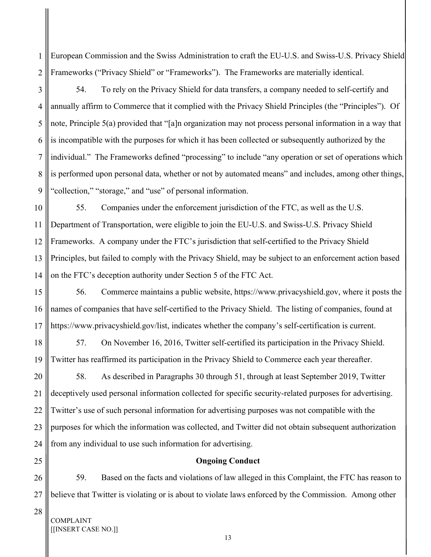1 2 European Commission and the Swiss Administration to craft the EU-U.S. and Swiss-U.S. Privacy Shield Frameworks ("Privacy Shield" or "Frameworks"). The Frameworks are materially identical.

3

4 5 6 7 8 9 54. To rely on the Privacy Shield for data transfers, a company needed to self-certify and annually affirm to Commerce that it complied with the Privacy Shield Principles (the "Principles"). Of note, Principle 5(a) provided that "[a]n organization may not process personal information in a way that is incompatible with the purposes for which it has been collected or subsequently authorized by the individual." The Frameworks defined "processing" to include "any operation or set of operations which is performed upon personal data, whether or not by automated means" and includes, among other things, "collection," "storage," and "use" of personal information.

10 11 12 13 14 55. Companies under the enforcement jurisdiction of the FTC, as well as the U.S. Department of Transportation, were eligible to join the EU-U.S. and Swiss-U.S. Privacy Shield Frameworks. A company under the FTC's jurisdiction that self-certified to the Privacy Shield Principles, but failed to comply with the Privacy Shield, may be subject to an enforcement action based on the FTC's deception authority under Section 5 of the FTC Act.

15 16 17 56. Commerce maintains a public website, https://www.privacyshield.gov, where it posts the names of companies that have self-certified to the Privacy Shield. The listing of companies, found at https://www.privacyshield.gov/list, indicates whether the company's self-certification is current.

18 19 57. On November 16, 2016, Twitter self-certified its participation in the Privacy Shield. Twitter has reaffirmed its participation in the Privacy Shield to Commerce each year thereafter.

20 21 22 23 24 58. As described in Paragraphs 30 through 51, through at least September 2019, Twitter deceptively used personal information collected for specific security-related purposes for advertising. Twitter's use of such personal information for advertising purposes was not compatible with the purposes for which the information was collected, and Twitter did not obtain subsequent authorization from any individual to use such information for advertising.

### Ongoing Conduct

26 27 59. Based on the facts and violations of law alleged in this Complaint, the FTC has reason to believe that Twitter is violating or is about to violate laws enforced by the Commission. Among other

COMPLAINT [[INSERT CASE NO.]]

25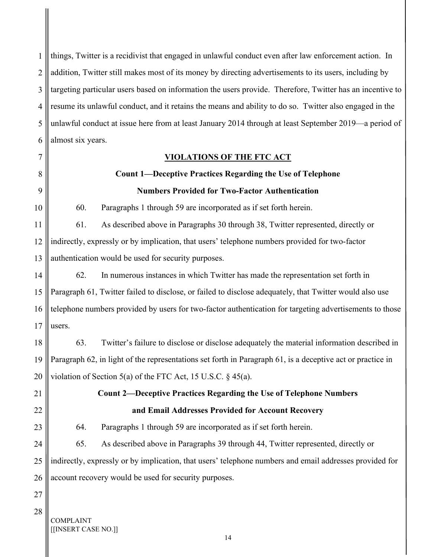1 2 3 4 5 6 things, Twitter is a recidivist that engaged in unlawful conduct even after law enforcement action. In addition, Twitter still makes most of its money by directing advertisements to its users, including by targeting particular users based on information the users provide. Therefore, Twitter has an incentive to resume its unlawful conduct, and it retains the means and ability to do so. Twitter also engaged in the unlawful conduct at issue here from at least January 2014 through at least September 2019—a period of almost six years.

#### VIOLATIONS OF THE FTC ACT

### Count 1—Deceptive Practices Regarding the Use of Telephone Numbers Provided for Two-Factor Authentication

60. Paragraphs 1 through 59 are incorporated as if set forth herein.

11 12 13 61. As described above in Paragraphs 30 through 38, Twitter represented, directly or indirectly, expressly or by implication, that users' telephone numbers provided for two-factor authentication would be used for security purposes.

14 15 16 17 62. In numerous instances in which Twitter has made the representation set forth in Paragraph 61, Twitter failed to disclose, or failed to disclose adequately, that Twitter would also use telephone numbers provided by users for two-factor authentication for targeting advertisements to those users.

18 19 20 63. Twitter's failure to disclose or disclose adequately the material information described in Paragraph 62, in light of the representations set forth in Paragraph 61, is a deceptive act or practice in violation of Section 5(a) of the FTC Act, 15 U.S.C. § 45(a).

21 22

23

7

8

9

10

### Count 2—Deceptive Practices Regarding the Use of Telephone Numbers and Email Addresses Provided for Account Recovery

64. Paragraphs 1 through 59 are incorporated as if set forth herein.

24 25 26 65. As described above in Paragraphs 39 through 44, Twitter represented, directly or indirectly, expressly or by implication, that users' telephone numbers and email addresses provided for account recovery would be used for security purposes.

27 28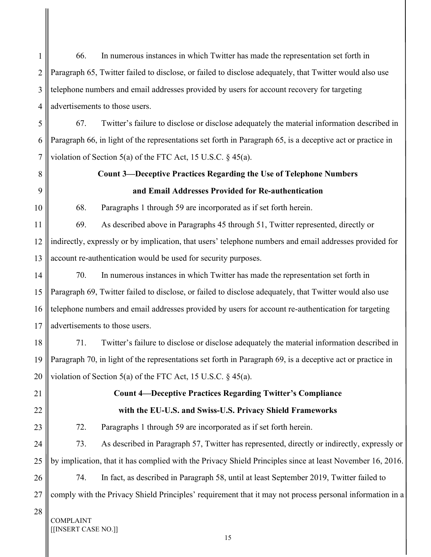1 2 3 4 5 66. In numerous instances in which Twitter has made the representation set forth in Paragraph 65, Twitter failed to disclose, or failed to disclose adequately, that Twitter would also use telephone numbers and email addresses provided by users for account recovery for targeting advertisements to those users. 67. Twitter's failure to disclose or disclose adequately the material information described in

6 7 Paragraph 66, in light of the representations set forth in Paragraph 65, is a deceptive act or practice in violation of Section 5(a) of the FTC Act, 15 U.S.C. § 45(a).

8

9

10

11

## Count 3—Deceptive Practices Regarding the Use of Telephone Numbers and Email Addresses Provided for Re-authentication

68. Paragraphs 1 through 59 are incorporated as if set forth herein.

12 13 69. As described above in Paragraphs 45 through 51, Twitter represented, directly or indirectly, expressly or by implication, that users' telephone numbers and email addresses provided for account re-authentication would be used for security purposes.

14 15 16 17 70. In numerous instances in which Twitter has made the representation set forth in Paragraph 69, Twitter failed to disclose, or failed to disclose adequately, that Twitter would also use telephone numbers and email addresses provided by users for account re-authentication for targeting advertisements to those users.

18 19 20 71. Twitter's failure to disclose or disclose adequately the material information described in Paragraph 70, in light of the representations set forth in Paragraph 69, is a deceptive act or practice in violation of Section 5(a) of the FTC Act, 15 U.S.C.  $\S$  45(a).

21

22

23

### Count 4—Deceptive Practices Regarding Twitter's Compliance with the EU-U.S. and Swiss-U.S. Privacy Shield Frameworks

72. Paragraphs 1 through 59 are incorporated as if set forth herein.

24 25 73. As described in Paragraph 57, Twitter has represented, directly or indirectly, expressly or by implication, that it has complied with the Privacy Shield Principles since at least November 16, 2016.

26 27 74. In fact, as described in Paragraph 58, until at least September 2019, Twitter failed to comply with the Privacy Shield Principles' requirement that it may not process personal information in a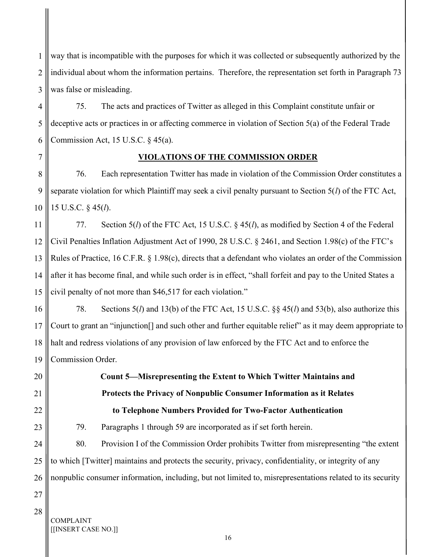1 2 3 way that is incompatible with the purposes for which it was collected or subsequently authorized by the individual about whom the information pertains. Therefore, the representation set forth in Paragraph 73 was false or misleading.

4 5 6 75. The acts and practices of Twitter as alleged in this Complaint constitute unfair or deceptive acts or practices in or affecting commerce in violation of Section 5(a) of the Federal Trade Commission Act, 15 U.S.C.  $\S$  45(a).

### VIOLATIONS OF THE COMMISSION ORDER

8 9 10 76. Each representation Twitter has made in violation of the Commission Order constitutes a separate violation for which Plaintiff may seek a civil penalty pursuant to Section  $5(l)$  of the FTC Act, 15 U.S.C. § 45(l).

11 12 13 14 15 77. Section  $5(l)$  of the FTC Act, 15 U.S.C.  $\frac{8}{45(l)}$ , as modified by Section 4 of the Federal Civil Penalties Inflation Adjustment Act of 1990, 28 U.S.C. § 2461, and Section 1.98(c) of the FTC's Rules of Practice, 16 C.F.R. § 1.98(c), directs that a defendant who violates an order of the Commission after it has become final, and while such order is in effect, "shall forfeit and pay to the United States a civil penalty of not more than \$46,517 for each violation."

16 17 18 19 78. Sections 5(*l*) and 13(b) of the FTC Act, 15 U.S.C.  $\S$  45(*l*) and 53(b), also authorize this Court to grant an "injunction[] and such other and further equitable relief" as it may deem appropriate to halt and redress violations of any provision of law enforced by the FTC Act and to enforce the Commission Order.

> Count 5—Misrepresenting the Extent to Which Twitter Maintains and Protects the Privacy of Nonpublic Consumer Information as it Relates to Telephone Numbers Provided for Two-Factor Authentication

79. Paragraphs 1 through 59 are incorporated as if set forth herein.

24 25 26 80. Provision I of the Commission Order prohibits Twitter from misrepresenting "the extent to which [Twitter] maintains and protects the security, privacy, confidentiality, or integrity of any nonpublic consumer information, including, but not limited to, misrepresentations related to its security

27 28

20

21

22

23

7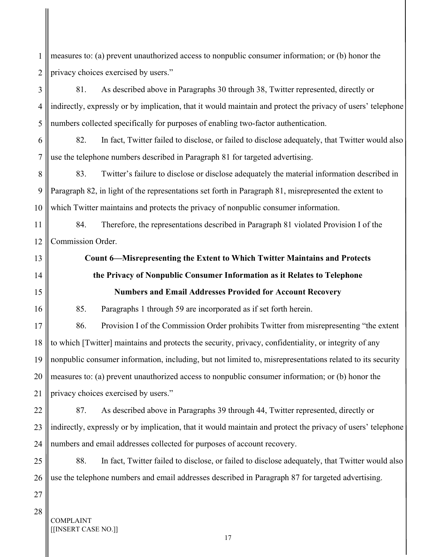1 2 measures to: (a) prevent unauthorized access to nonpublic consumer information; or (b) honor the privacy choices exercised by users."

3 4 5 81. As described above in Paragraphs 30 through 38, Twitter represented, directly or indirectly, expressly or by implication, that it would maintain and protect the privacy of users' telephone numbers collected specifically for purposes of enabling two-factor authentication.

6 7 82. In fact, Twitter failed to disclose, or failed to disclose adequately, that Twitter would also use the telephone numbers described in Paragraph 81 for targeted advertising.

8 9 10 83. Twitter's failure to disclose or disclose adequately the material information described in Paragraph 82, in light of the representations set forth in Paragraph 81, misrepresented the extent to which Twitter maintains and protects the privacy of nonpublic consumer information.

11 12 84. Therefore, the representations described in Paragraph 81 violated Provision I of the Commission Order.

13 14

15

16

# the Privacy of Nonpublic Consumer Information as it Relates to Telephone Numbers and Email Addresses Provided for Account Recovery

Count 6—Misrepresenting the Extent to Which Twitter Maintains and Protects

85. Paragraphs 1 through 59 are incorporated as if set forth herein.

17 18 19 20 21 86. Provision I of the Commission Order prohibits Twitter from misrepresenting "the extent to which [Twitter] maintains and protects the security, privacy, confidentiality, or integrity of any nonpublic consumer information, including, but not limited to, misrepresentations related to its security measures to: (a) prevent unauthorized access to nonpublic consumer information; or (b) honor the privacy choices exercised by users."

22 23 24 87. As described above in Paragraphs 39 through 44, Twitter represented, directly or indirectly, expressly or by implication, that it would maintain and protect the privacy of users' telephone numbers and email addresses collected for purposes of account recovery.

25 26 88. In fact, Twitter failed to disclose, or failed to disclose adequately, that Twitter would also use the telephone numbers and email addresses described in Paragraph 87 for targeted advertising.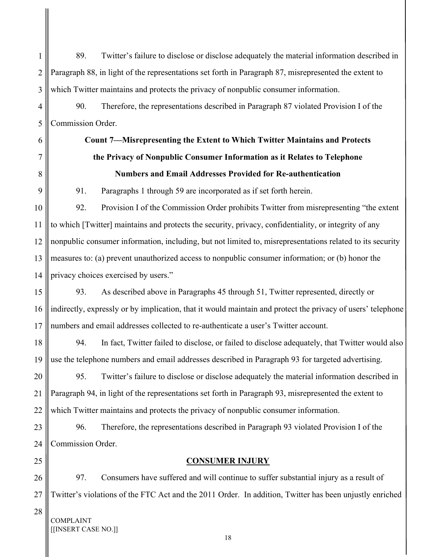1 2 3 89. Twitter's failure to disclose or disclose adequately the material information described in Paragraph 88, in light of the representations set forth in Paragraph 87, misrepresented the extent to which Twitter maintains and protects the privacy of nonpublic consumer information.

90. Therefore, the representations described in Paragraph 87 violated Provision I of the Commission Order.

# Count 7—Misrepresenting the Extent to Which Twitter Maintains and Protects the Privacy of Nonpublic Consumer Information as it Relates to Telephone Numbers and Email Addresses Provided for Re-authentication

91. Paragraphs 1 through 59 are incorporated as if set forth herein.

10 11 12 13 14 92. Provision I of the Commission Order prohibits Twitter from misrepresenting "the extent to which [Twitter] maintains and protects the security, privacy, confidentiality, or integrity of any nonpublic consumer information, including, but not limited to, misrepresentations related to its security measures to: (a) prevent unauthorized access to nonpublic consumer information; or (b) honor the privacy choices exercised by users."

15 16 17 93. As described above in Paragraphs 45 through 51, Twitter represented, directly or indirectly, expressly or by implication, that it would maintain and protect the privacy of users' telephone numbers and email addresses collected to re-authenticate a user's Twitter account.

18 19 94. In fact, Twitter failed to disclose, or failed to disclose adequately, that Twitter would also use the telephone numbers and email addresses described in Paragraph 93 for targeted advertising.

20 21 22 95. Twitter's failure to disclose or disclose adequately the material information described in Paragraph 94, in light of the representations set forth in Paragraph 93, misrepresented the extent to which Twitter maintains and protects the privacy of nonpublic consumer information.

23 24 96. Therefore, the representations described in Paragraph 93 violated Provision I of the Commission Order.

25

4

5

6

7

8

9

### CONSUMER INJURY

26 27 97. Consumers have suffered and will continue to suffer substantial injury as a result of Twitter's violations of the FTC Act and the 2011 Order. In addition, Twitter has been unjustly enriched

28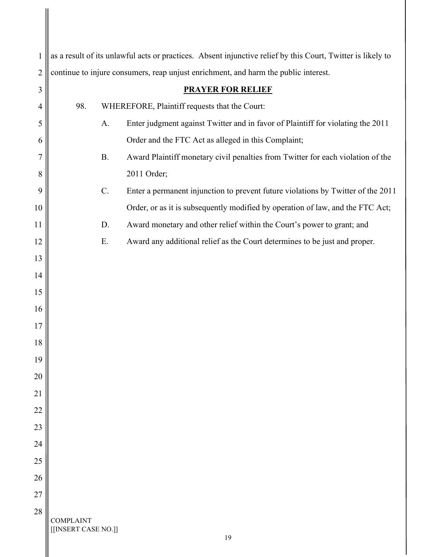| $\mathbf{1}$   |                                         | as a result of its unlawful acts or practices. Absent injunctive relief by this Court, Twitter is likely to |
|----------------|-----------------------------------------|-------------------------------------------------------------------------------------------------------------|
| $\overline{2}$ |                                         | continue to injure consumers, reap unjust enrichment, and harm the public interest.                         |
| 3              |                                         | <b>PRAYER FOR RELIEF</b>                                                                                    |
| $\overline{4}$ | 98.                                     | WHEREFORE, Plaintiff requests that the Court:                                                               |
| 5              |                                         | Enter judgment against Twitter and in favor of Plaintiff for violating the 2011<br>A.                       |
| 6              |                                         | Order and the FTC Act as alleged in this Complaint;                                                         |
| 7              |                                         | Award Plaintiff monetary civil penalties from Twitter for each violation of the<br><b>B.</b>                |
| 8              |                                         | 2011 Order;                                                                                                 |
| 9              |                                         | Enter a permanent injunction to prevent future violations by Twitter of the 2011<br>C.                      |
| 10             |                                         | Order, or as it is subsequently modified by operation of law, and the FTC Act;                              |
| 11             |                                         | Award monetary and other relief within the Court's power to grant; and<br>D.                                |
| 12             |                                         | E.<br>Award any additional relief as the Court determines to be just and proper.                            |
| 13             |                                         |                                                                                                             |
| 14             |                                         |                                                                                                             |
| 15             |                                         |                                                                                                             |
| 16             |                                         |                                                                                                             |
| 17             |                                         |                                                                                                             |
| 18             |                                         |                                                                                                             |
| 19             |                                         |                                                                                                             |
| 20             |                                         |                                                                                                             |
| 21             |                                         |                                                                                                             |
| 22             |                                         |                                                                                                             |
| 23             |                                         |                                                                                                             |
| 24             |                                         |                                                                                                             |
| 25             |                                         |                                                                                                             |
| 26             |                                         |                                                                                                             |
| 27             |                                         |                                                                                                             |
| 28             |                                         |                                                                                                             |
|                | <b>COMPLAINT</b><br>[[INSERT CASE NO.]] | 19                                                                                                          |

║